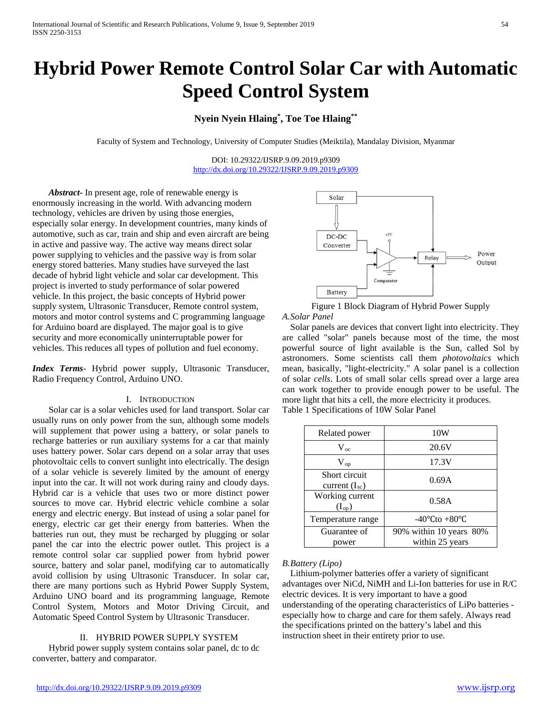# **Hybrid Power Remote Control Solar Car with Automatic Speed Control System**

# **Nyein Nyein Hlaing\* , Toe Toe Hlaing\*\***

Faculty of System and Technology, University of Computer Studies (Meiktila), Mandalay Division, Myanmar

DOI: 10.29322/IJSRP.9.09.2019.p9309 <http://dx.doi.org/10.29322/IJSRP.9.09.2019.p9309>

*Abstract***-** In present age, role of renewable energy is enormously increasing in the world. With advancing modern technology, vehicles are driven by using those energies, especially solar energy. In development countries, many kinds of automotive, such as car, train and ship and even aircraft are being in active and passive way. The active way means direct solar power supplying to vehicles and the passive way is from solar energy stored batteries. Many studies have surveyed the last decade of hybrid light vehicle and solar car development. This project is inverted to study performance of solar powered vehicle. In this project, the basic concepts of Hybrid power supply system, Ultrasonic Transducer, Remote control system, motors and motor control systems and C programming language for Arduino board are displayed. The major goal is to give security and more economically uninterruptable power for vehicles. This reduces all types of pollution and fuel economy.

*Index Terms*- Hybrid power supply, Ultrasonic Transducer, Radio Frequency Control, Arduino UNO.

#### I. INTRODUCTION

Solar car is a solar vehicles used for land transport. Solar car usually runs on only power from the sun, although some models will supplement that power using a battery, or solar panels to recharge batteries or run auxiliary systems for a car that mainly uses battery power. Solar cars depend on a solar array that uses photovoltaic cells to convert sunlight into electrically. The design of a solar vehicle is severely limited by the amount of energy input into the car. It will not work during rainy and cloudy days. Hybrid car is a vehicle that uses two or more distinct power sources to move car. Hybrid electric vehicle combine a solar energy and electric energy. But instead of using a solar panel for energy, electric car get their energy from batteries. When the batteries run out, they must be recharged by plugging or solar panel the car into the electric power outlet. This project is a remote control solar car supplied power from hybrid power source, battery and solar panel, modifying car to automatically avoid collision by using Ultrasonic Transducer. In solar car, there are many portions such as Hybrid Power Supply System, Arduino UNO board and its programming language, Remote Control System, Motors and Motor Driving Circuit, and Automatic Speed Control System by Ultrasonic Transducer.

### II. HYBRID POWER SUPPLY SYSTEM

Hybrid power supply system contains solar panel, dc to dc converter, battery and comparator.



Figure 1 Block Diagram of Hybrid Power Supply *A.Solar Panel*

Solar panels are devices that convert light into electricity. They are called "solar" panels because most of the time, the most powerful source of light available is the Sun, called Sol by astronomers. Some scientists call them *photovoltaics* which mean, basically, "light-electricity." A solar panel is a collection of solar *cells*. Lots of small solar cells spread over a large area can work together to provide enough power to be useful. The more light that hits a cell, the more electricity it produces. Table 1 Specifications of 10W Solar Panel

| Related power                    | 10W                               |  |  |
|----------------------------------|-----------------------------------|--|--|
| $V_{oc}$                         | 20.6V                             |  |  |
| $\rm V_{op}$                     | 17.3V                             |  |  |
| Short circuit<br>current $(Isc)$ | 0.69A                             |  |  |
| Working current<br>$(I_{op})$    | 0.58A                             |  |  |
| Temperature range                | $-40^{\circ}$ Cto $+80^{\circ}$ C |  |  |
| Guarantee of                     | 90% within 10 years 80%           |  |  |
| power                            | within 25 years                   |  |  |

#### *B.Battery (Lipo)*

Lithium-polymer batteries offer a variety of significant advantages over NiCd, NiMH and Li-Ion batteries for use in R/C electric devices. It is very important to have a good understanding of the operating characteristics of LiPo batteries especially how to charge and care for them safely. Always read the specifications printed on the battery's label and this instruction sheet in their entirety prior to use.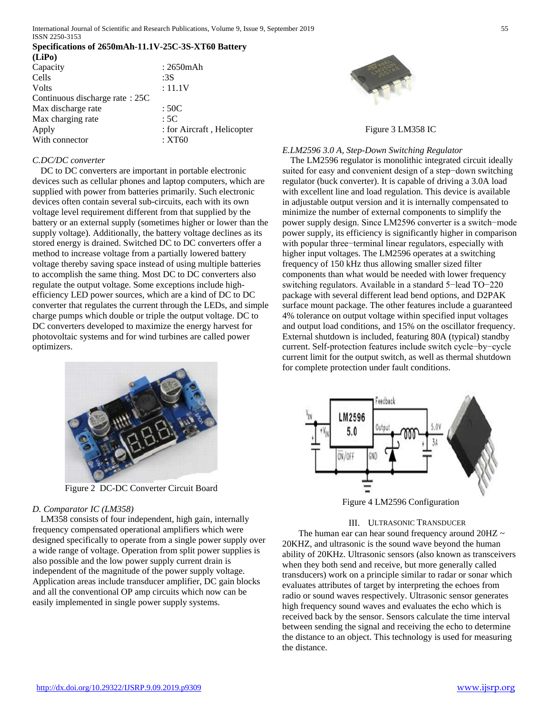International Journal of Scientific and Research Publications, Volume 9, Issue 9, September 2019 55 ISSN 2250-3153

# **Specifications of 2650mAh-11.1V-25C-3S-XT60 Battery**

| (LiPo)                         |                            |
|--------------------------------|----------------------------|
| Capacity                       | $: 2650$ m $Ah$            |
| Cells                          | :3S                        |
| Volts                          | : 11.1V                    |
| Continuous discharge rate: 25C |                            |
| Max discharge rate             | :50C                       |
| Max charging rate              | :5C                        |
| Apply                          | : for Aircraft, Helicopter |
| With connector                 | :XT60                      |

# *C.DC/DC converter*

DC to DC converters are important in portable electronic devices such as cellular phones and laptop computers, which are supplied with power from batteries primarily. Such electronic devices often contain several sub-circuits, each with its own voltage level requirement different from that supplied by the battery or an external supply (sometimes higher or lower than the supply voltage). Additionally, the battery voltage declines as its stored energy is drained. Switched DC to DC converters offer a method to increase voltage from a partially lowered battery voltage thereby saving space instead of using multiple batteries to accomplish the same thing. Most DC to DC converters also regulate the output voltage. Some exceptions include highefficiency LED power sources, which are a kind of DC to DC converter that regulates the current through the LEDs, and simple charge pumps which double or triple the output voltage. DC to DC converters developed to maximize the energy harvest for photovoltaic systems and for wind turbines are called power optimizers.



Figure 2 DC-DC Converter Circuit Board

#### *D. Comparator IC (LM358)*

LM358 consists of four independent, high gain, internally frequency compensated operational amplifiers which were designed specifically to operate from a single power supply over a wide range of voltage. Operation from split power supplies is also possible and the low power supply current drain is independent of the magnitude of the power supply voltage. Application areas include transducer amplifier, DC gain blocks and all the conventional OP amp circuits which now can be easily implemented in single power supply systems.



Figure 3 LM358 IC

#### *E.LM2596 3.0 A, Step-Down Switching Regulator*

The LM2596 regulator is monolithic integrated circuit ideally suited for easy and convenient design of a step−down switching regulator (buck converter). It is capable of driving a 3.0A load with excellent line and load regulation. This device is available in adjustable output version and it is internally compensated to minimize the number of external components to simplify the power supply design. Since LM2596 converter is a switch−mode power supply, its efficiency is significantly higher in comparison with popular three−terminal linear regulators, especially with higher input voltages. The LM2596 operates at a switching frequency of 150 kHz thus allowing smaller sized filter components than what would be needed with lower frequency switching regulators. Available in a standard 5−lead TO−220 package with several different lead bend options, and D2PAK surface mount package. The other features include a guaranteed 4% tolerance on output voltage within specified input voltages and output load conditions, and 15% on the oscillator frequency. External shutdown is included, featuring 80A (typical) standby current. Self-protection features include switch cycle−by−cycle current limit for the output switch, as well as thermal shutdown for complete protection under fault conditions.



Figure 4 LM2596 Configuration

### III. ULTRASONIC TRANSDUCER

The human ear can hear sound frequency around 20HZ  $\sim$ 20KHZ, and ultrasonic is the sound wave beyond the human ability of 20KHz. Ultrasonic sensors (also known as transceivers when they both send and receive, but more generally called transducers) work on a principle similar to radar or sonar which evaluates attributes of target by interpreting the echoes from radio or sound waves respectively. Ultrasonic sensor generates high frequency sound waves and evaluates the echo which is received back by the sensor. Sensors calculate the time interval between sending the signal and receiving the echo to determine the distance to an object. This technology is used for measuring the distance.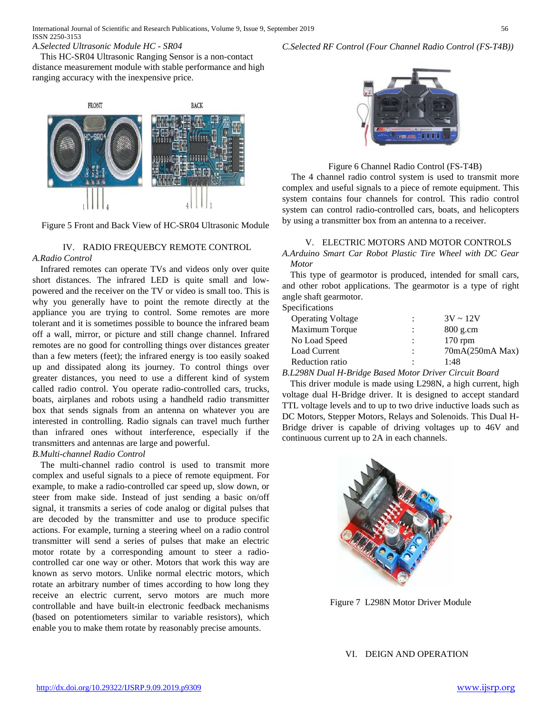## *A.Selected Ultrasonic Module HC - SR04*

This HC-SR04 Ultrasonic Ranging Sensor is a non-contact distance measurement module with stable performance and high ranging accuracy with the inexpensive price.



Figure 5 Front and Back View of HC-SR04 Ultrasonic Module

# IV. RADIO FREQUEBCY REMOTE CONTROL

# *A.Radio Control*

Infrared remotes can operate TVs and videos only over quite short distances. The infrared LED is quite small and lowpowered and the receiver on the TV or video is small too. This is why you generally have to point the remote directly at the appliance you are trying to control. Some remotes are more tolerant and it is sometimes possible to bounce the infrared beam off a wall, mirror, or picture and still change channel. Infrared remotes are no good for controlling things over distances greater than a few meters (feet); the infrared energy is too easily soaked up and dissipated along its journey. To control things over greater distances, you need to use a different kind of system called radio control. You operate radio-controlled cars, trucks, boats, airplanes and robots using a handheld radio transmitter box that sends signals from an antenna on whatever you are interested in controlling. Radio signals can travel much further than infrared ones without interference, especially if the transmitters and antennas are large and powerful.

# *B.Multi-channel Radio Control*

The multi-channel radio control is used to transmit more complex and useful signals to a piece of remote equipment. For example, to make a radio-controlled car speed up, slow down, or steer from make side. Instead of just sending a basic on/off signal, it transmits a series of code analog or digital pulses that are decoded by the transmitter and use to produce specific actions. For example, turning a steering wheel on a radio control transmitter will send a series of pulses that make an electric motor rotate by a corresponding amount to steer a radiocontrolled car one way or other. Motors that work this way are known as servo motors. Unlike normal electric motors, which rotate an arbitrary number of times according to how long they receive an electric current, servo motors are much more controllable and have built-in electronic feedback mechanisms (based on potentiometers similar to variable resistors), which enable you to make them rotate by reasonably precise amounts.

## *C.Selected RF Control (Four Channel Radio Control (FS-T4B))*



Figure 6 Channel Radio Control (FS-T4B)

The 4 channel radio control system is used to transmit more complex and useful signals to a piece of remote equipment. This system contains four channels for control. This radio control system can control radio-controlled cars, boats, and helicopters by using a transmitter box from an antenna to a receiver.

# V. ELECTRIC MOTORS AND MOTOR CONTROLS *A.Arduino Smart Car Robot Plastic Tire Wheel with DC Gear Motor*

This type of gearmotor is produced, intended for small cars, and other robot applications. The gearmotor is a type of right angle shaft gearmotor.

# Specifications

| <b>Operating Voltage</b> | $\ddot{\phantom{a}}$ | $3V \sim 12V$   |
|--------------------------|----------------------|-----------------|
| Maximum Torque           | $\ddot{\phantom{a}}$ | $800$ g.cm      |
| No Load Speed            | $\ddot{\phantom{a}}$ | $170$ rpm       |
| Load Current             | ÷                    | 70mA(250mA Max) |
| Reduction ratio          | ٠                    | 1:48            |
|                          |                      |                 |

*B.L298N Dual H-Bridge Based Motor Driver Circuit Board*

This driver module is made using L298N, a high current, high voltage dual H-Bridge driver. It is designed to accept standard TTL voltage levels and to up to two drive inductive loads such as DC Motors, Stepper Motors, Relays and Solenoids. This Dual H-Bridge driver is capable of driving voltages up to 46V and continuous current up to 2A in each channels.



Figure 7 L298N Motor Driver Module

VI. DEIGN AND OPERATION